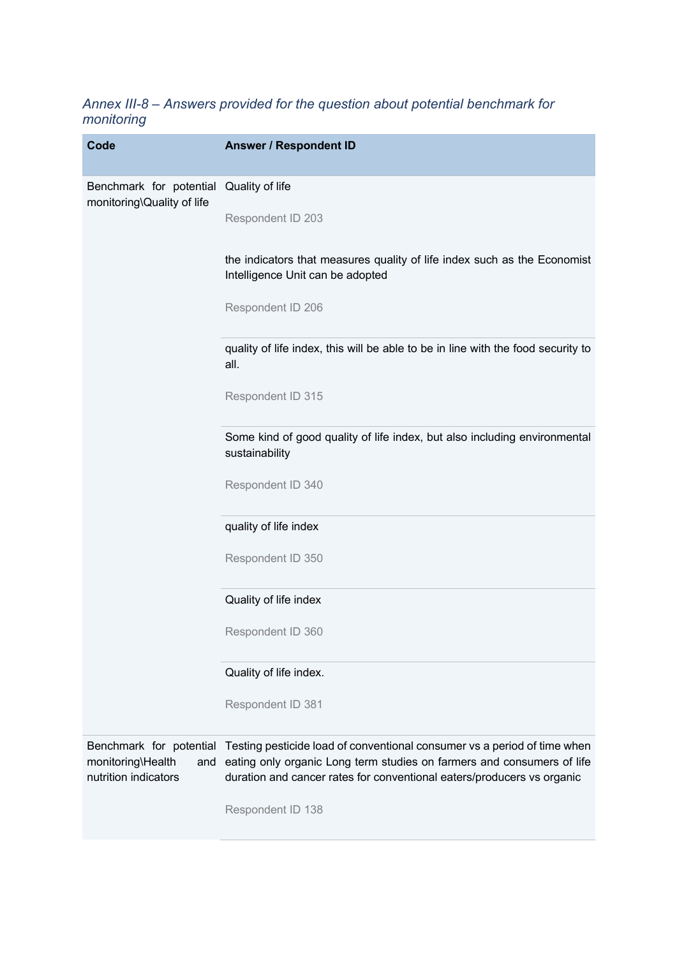# *Annex III-8 – Answers provided for the question about potential benchmark for monitoring*

| <b>Code</b>                                           | <b>Answer / Respondent ID</b>                                                                                                                                                                                                                        |
|-------------------------------------------------------|------------------------------------------------------------------------------------------------------------------------------------------------------------------------------------------------------------------------------------------------------|
| Benchmark for potential<br>monitoring\Quality of life | Quality of life                                                                                                                                                                                                                                      |
|                                                       | Respondent ID 203                                                                                                                                                                                                                                    |
|                                                       | the indicators that measures quality of life index such as the Economist<br>Intelligence Unit can be adopted                                                                                                                                         |
|                                                       | Respondent ID 206                                                                                                                                                                                                                                    |
|                                                       | quality of life index, this will be able to be in line with the food security to<br>all.                                                                                                                                                             |
|                                                       | Respondent ID 315                                                                                                                                                                                                                                    |
|                                                       | Some kind of good quality of life index, but also including environmental<br>sustainability                                                                                                                                                          |
|                                                       | Respondent ID 340                                                                                                                                                                                                                                    |
|                                                       | quality of life index                                                                                                                                                                                                                                |
|                                                       | Respondent ID 350                                                                                                                                                                                                                                    |
|                                                       | Quality of life index                                                                                                                                                                                                                                |
|                                                       | Respondent ID 360                                                                                                                                                                                                                                    |
|                                                       | Quality of life index.                                                                                                                                                                                                                               |
|                                                       | Respondent ID 381                                                                                                                                                                                                                                    |
| monitoring\Health<br>and<br>nutrition indicators      | Benchmark for potential Testing pesticide load of conventional consumer vs a period of time when<br>eating only organic Long term studies on farmers and consumers of life<br>duration and cancer rates for conventional eaters/producers vs organic |
|                                                       | Respondent ID 138                                                                                                                                                                                                                                    |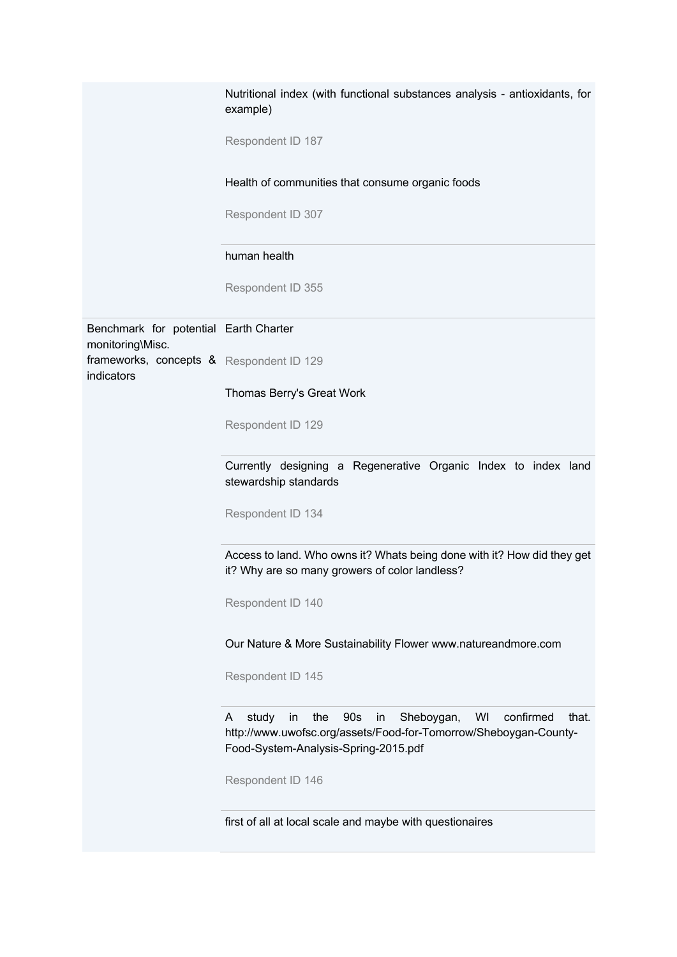|                                                           | Nutritional index (with functional substances analysis - antioxidants, for<br>example)                                                                                                     |
|-----------------------------------------------------------|--------------------------------------------------------------------------------------------------------------------------------------------------------------------------------------------|
|                                                           | Respondent ID 187                                                                                                                                                                          |
|                                                           | Health of communities that consume organic foods                                                                                                                                           |
|                                                           | Respondent ID 307                                                                                                                                                                          |
|                                                           | human health                                                                                                                                                                               |
|                                                           | Respondent ID 355                                                                                                                                                                          |
| Benchmark for potential Earth Charter<br>monitoring\Misc. |                                                                                                                                                                                            |
| frameworks, concepts & Respondent ID 129<br>indicators    |                                                                                                                                                                                            |
|                                                           | Thomas Berry's Great Work                                                                                                                                                                  |
|                                                           | Respondent ID 129                                                                                                                                                                          |
|                                                           | Currently designing a Regenerative Organic Index to index land<br>stewardship standards                                                                                                    |
|                                                           | Respondent ID 134                                                                                                                                                                          |
|                                                           | Access to land. Who owns it? Whats being done with it? How did they get<br>it? Why are so many growers of color landless?                                                                  |
|                                                           | Respondent ID 140                                                                                                                                                                          |
|                                                           | Our Nature & More Sustainability Flower www.natureandmore.com                                                                                                                              |
|                                                           | Respondent ID 145                                                                                                                                                                          |
|                                                           | confirmed<br>study<br>90s<br>Sheboygan,<br>WI<br>in<br>the<br>in<br>that.<br>A<br>http://www.uwofsc.org/assets/Food-for-Tomorrow/Sheboygan-County-<br>Food-System-Analysis-Spring-2015.pdf |
|                                                           | Respondent ID 146                                                                                                                                                                          |
|                                                           | first of all at local scale and maybe with questionaires                                                                                                                                   |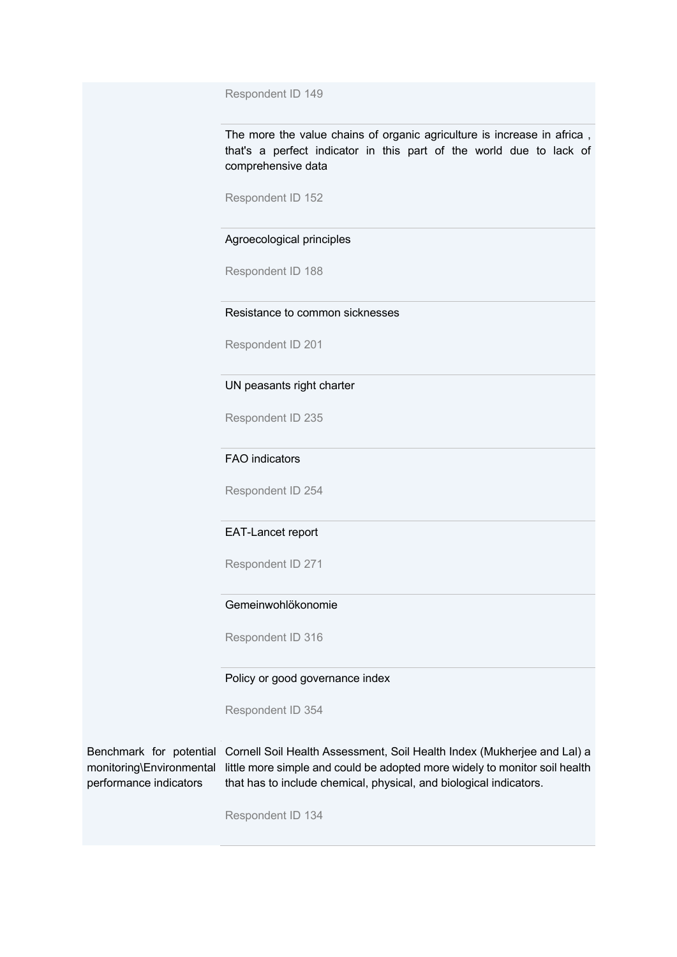Respondent ID 149

The more the value chains of organic agriculture is increase in africa , that's a perfect indicator in this part of the world due to lack of comprehensive data

Respondent ID 152

#### Agroecological principles

Respondent ID 188

# Resistance to common sicknesses

Respondent ID 201

#### UN peasants right charter

Respondent ID 235

# FAO indicators

Respondent ID 254

#### EAT-Lancet report

Respondent ID 271

### Gemeinwohlökonomie

Respondent ID 316

#### Policy or good governance index

Respondent ID 354

# performance indicators

Benchmark for potential Cornell Soil Health Assessment, Soil Health Index (Mukherjee and Lal) a monitoring\Environmental little more simple and could be adopted more widely to monitor soil health that has to include chemical, physical, and biological indicators.

Respondent ID 134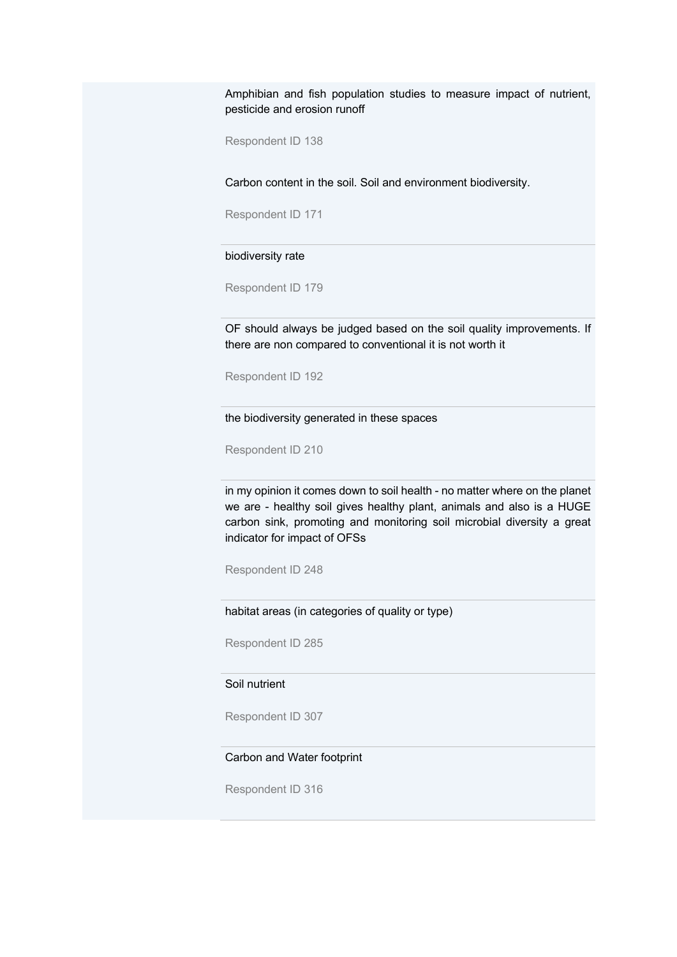Amphibian and fish population studies to measure impact of nutrient, pesticide and erosion runoff

Respondent ID 138

Carbon content in the soil. Soil and environment biodiversity.

Respondent ID 171

biodiversity rate

Respondent ID 179

OF should always be judged based on the soil quality improvements. If there are non compared to conventional it is not worth it

Respondent ID 192

the biodiversity generated in these spaces

Respondent ID 210

in my opinion it comes down to soil health - no matter where on the planet we are - healthy soil gives healthy plant, animals and also is a HUGE carbon sink, promoting and monitoring soil microbial diversity a great indicator for impact of OFSs

Respondent ID 248

habitat areas (in categories of quality or type)

Respondent ID 285

## Soil nutrient

Respondent ID 307

#### Carbon and Water footprint

Respondent ID 316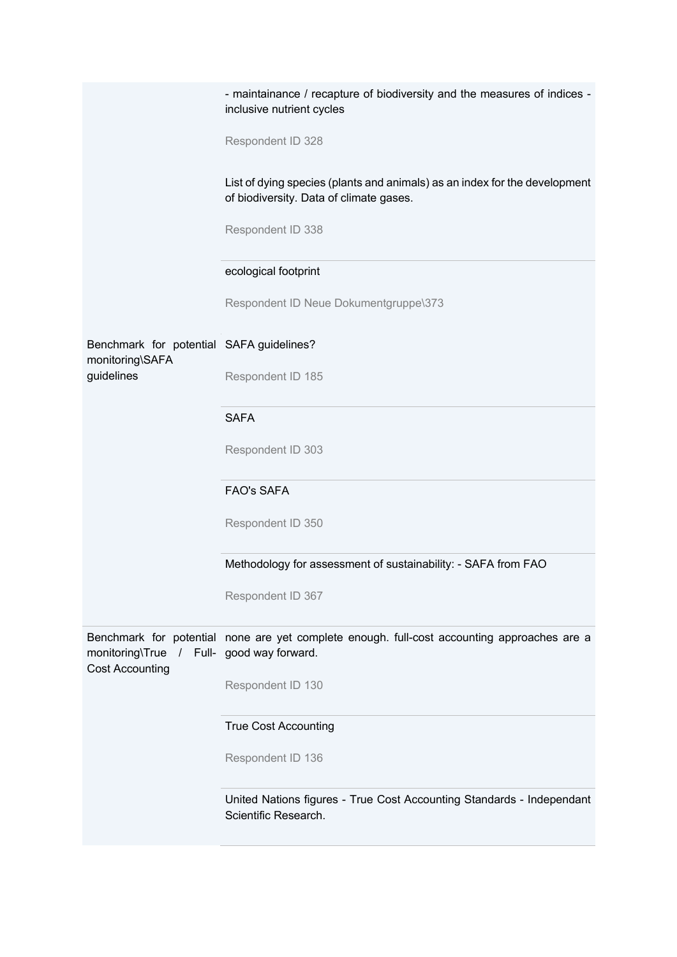|                                                                     | - maintainance / recapture of biodiversity and the measures of indices -<br>inclusive nutrient cycles                 |
|---------------------------------------------------------------------|-----------------------------------------------------------------------------------------------------------------------|
|                                                                     | Respondent ID 328                                                                                                     |
|                                                                     | List of dying species (plants and animals) as an index for the development<br>of biodiversity. Data of climate gases. |
|                                                                     | Respondent ID 338                                                                                                     |
|                                                                     | ecological footprint                                                                                                  |
|                                                                     | Respondent ID Neue Dokumentgruppe\373                                                                                 |
| Benchmark for potential SAFA guidelines?<br>monitoring\SAFA         |                                                                                                                       |
| guidelines                                                          | Respondent ID 185                                                                                                     |
|                                                                     | <b>SAFA</b>                                                                                                           |
|                                                                     | Respondent ID 303                                                                                                     |
|                                                                     | <b>FAO's SAFA</b>                                                                                                     |
|                                                                     | Respondent ID 350                                                                                                     |
|                                                                     | Methodology for assessment of sustainability: - SAFA from FAO                                                         |
|                                                                     | Respondent ID 367                                                                                                     |
| monitoring\True / Full- good way forward.<br><b>Cost Accounting</b> | Benchmark for potential none are yet complete enough. full-cost accounting approaches are a                           |
|                                                                     | Respondent ID 130                                                                                                     |
|                                                                     | <b>True Cost Accounting</b>                                                                                           |
|                                                                     | Respondent ID 136                                                                                                     |
|                                                                     | United Nations figures - True Cost Accounting Standards - Independant<br>Scientific Research.                         |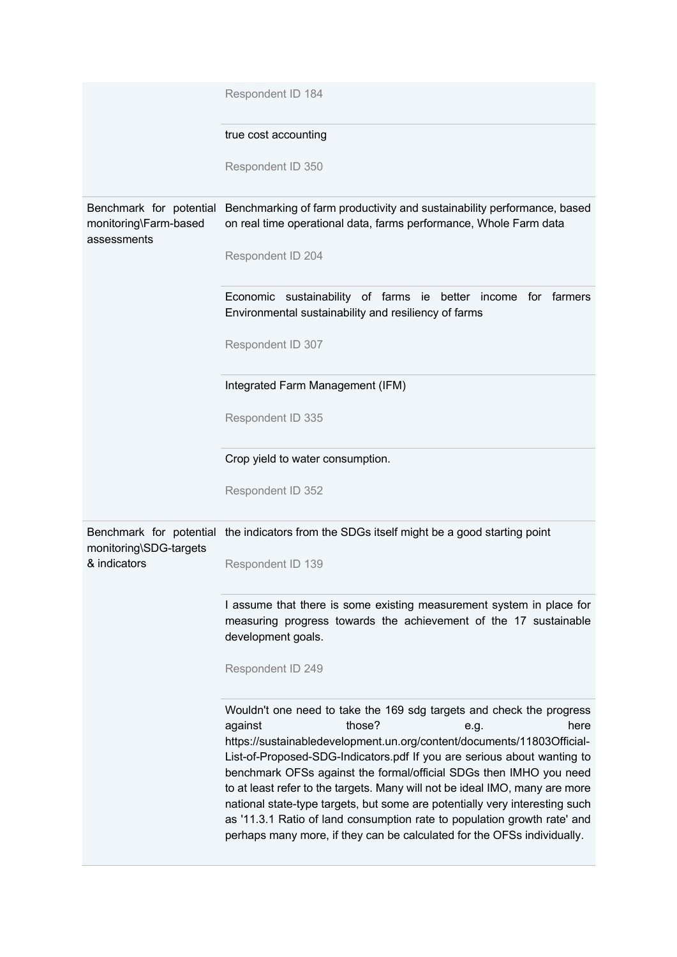|                                        | Respondent ID 184                                                                                                                                                                                                                                                                                                                                                                                                                                                                                                                                                                                                                                         |
|----------------------------------------|-----------------------------------------------------------------------------------------------------------------------------------------------------------------------------------------------------------------------------------------------------------------------------------------------------------------------------------------------------------------------------------------------------------------------------------------------------------------------------------------------------------------------------------------------------------------------------------------------------------------------------------------------------------|
|                                        | true cost accounting                                                                                                                                                                                                                                                                                                                                                                                                                                                                                                                                                                                                                                      |
|                                        | Respondent ID 350                                                                                                                                                                                                                                                                                                                                                                                                                                                                                                                                                                                                                                         |
| monitoring\Farm-based<br>assessments   | Benchmark for potential Benchmarking of farm productivity and sustainability performance, based<br>on real time operational data, farms performance, Whole Farm data                                                                                                                                                                                                                                                                                                                                                                                                                                                                                      |
|                                        | Respondent ID 204                                                                                                                                                                                                                                                                                                                                                                                                                                                                                                                                                                                                                                         |
|                                        | Economic sustainability of farms ie better income for farmers<br>Environmental sustainability and resiliency of farms                                                                                                                                                                                                                                                                                                                                                                                                                                                                                                                                     |
|                                        | Respondent ID 307                                                                                                                                                                                                                                                                                                                                                                                                                                                                                                                                                                                                                                         |
|                                        | Integrated Farm Management (IFM)                                                                                                                                                                                                                                                                                                                                                                                                                                                                                                                                                                                                                          |
|                                        | Respondent ID 335                                                                                                                                                                                                                                                                                                                                                                                                                                                                                                                                                                                                                                         |
|                                        | Crop yield to water consumption.                                                                                                                                                                                                                                                                                                                                                                                                                                                                                                                                                                                                                          |
|                                        | Respondent ID 352                                                                                                                                                                                                                                                                                                                                                                                                                                                                                                                                                                                                                                         |
|                                        | Benchmark for potential the indicators from the SDGs itself might be a good starting point                                                                                                                                                                                                                                                                                                                                                                                                                                                                                                                                                                |
| monitoring\SDG-targets<br>& indicators | Respondent ID 139                                                                                                                                                                                                                                                                                                                                                                                                                                                                                                                                                                                                                                         |
|                                        | I assume that there is some existing measurement system in place for<br>measuring progress towards the achievement of the 17 sustainable<br>development goals.                                                                                                                                                                                                                                                                                                                                                                                                                                                                                            |
|                                        | Respondent ID 249                                                                                                                                                                                                                                                                                                                                                                                                                                                                                                                                                                                                                                         |
|                                        | Wouldn't one need to take the 169 sdg targets and check the progress<br>those?<br>against<br>here<br>e.g.<br>https://sustainabledevelopment.un.org/content/documents/11803Official-<br>List-of-Proposed-SDG-Indicators.pdf If you are serious about wanting to<br>benchmark OFSs against the formal/official SDGs then IMHO you need<br>to at least refer to the targets. Many will not be ideal IMO, many are more<br>national state-type targets, but some are potentially very interesting such<br>as '11.3.1 Ratio of land consumption rate to population growth rate' and<br>perhaps many more, if they can be calculated for the OFSs individually. |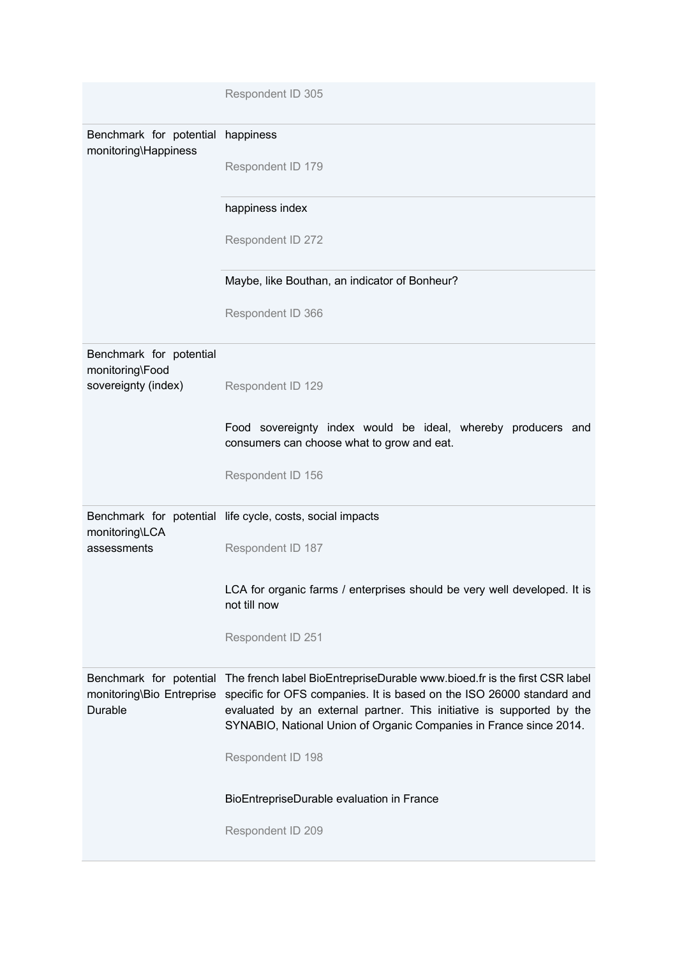|                                                                   | Respondent ID 305                                                                                                                                                                                                                                                                                 |
|-------------------------------------------------------------------|---------------------------------------------------------------------------------------------------------------------------------------------------------------------------------------------------------------------------------------------------------------------------------------------------|
| Benchmark for potential<br>monitoring\Happiness                   | happiness<br>Respondent ID 179                                                                                                                                                                                                                                                                    |
|                                                                   | happiness index                                                                                                                                                                                                                                                                                   |
|                                                                   | Respondent ID 272                                                                                                                                                                                                                                                                                 |
|                                                                   | Maybe, like Bouthan, an indicator of Bonheur?                                                                                                                                                                                                                                                     |
|                                                                   | Respondent ID 366                                                                                                                                                                                                                                                                                 |
| Benchmark for potential<br>monitoring\Food<br>sovereignty (index) | Respondent ID 129                                                                                                                                                                                                                                                                                 |
|                                                                   | Food sovereignty index would be ideal, whereby producers and<br>consumers can choose what to grow and eat.                                                                                                                                                                                        |
|                                                                   | Respondent ID 156                                                                                                                                                                                                                                                                                 |
| monitoring\LCA                                                    | Benchmark for potential life cycle, costs, social impacts                                                                                                                                                                                                                                         |
| assessments                                                       | Respondent ID 187                                                                                                                                                                                                                                                                                 |
|                                                                   | LCA for organic farms / enterprises should be very well developed. It is<br>not till now                                                                                                                                                                                                          |
|                                                                   | Respondent ID 251                                                                                                                                                                                                                                                                                 |
| Benchmark for potential<br>monitoring\Bio Entreprise<br>Durable   | The french label BioEntrepriseDurable www.bioed.fr is the first CSR label<br>specific for OFS companies. It is based on the ISO 26000 standard and<br>evaluated by an external partner. This initiative is supported by the<br>SYNABIO, National Union of Organic Companies in France since 2014. |
|                                                                   | Respondent ID 198                                                                                                                                                                                                                                                                                 |
|                                                                   | BioEntrepriseDurable evaluation in France                                                                                                                                                                                                                                                         |
|                                                                   | Respondent ID 209                                                                                                                                                                                                                                                                                 |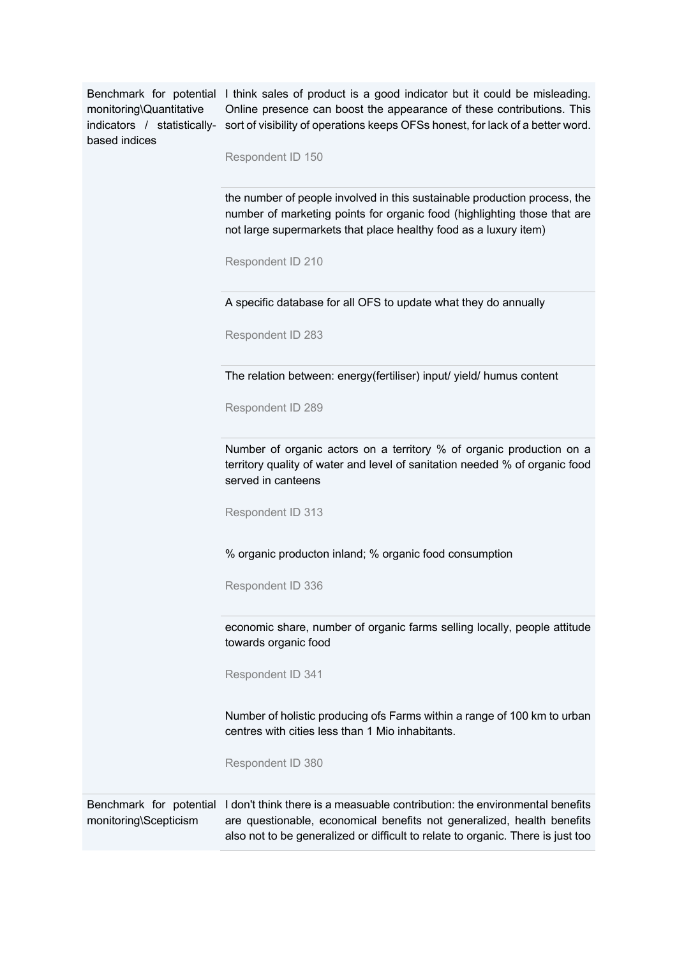monitoring\Quantitative based indices

Benchmark for potential I think sales of product is a good indicator but it could be misleading. indicators / statistically- sort of visibility of operations keeps OFSs honest, for lack of a better word. Online presence can boost the appearance of these contributions. This

Respondent ID 150

the number of people involved in this sustainable production process, the number of marketing points for organic food (highlighting those that are not large supermarkets that place healthy food as a luxury item)

Respondent ID 210

A specific database for all OFS to update what they do annually

Respondent ID 283

The relation between: energy(fertiliser) input/ yield/ humus content

Respondent ID 289

Number of organic actors on a territory % of organic production on a territory quality of water and level of sanitation needed % of organic food served in canteens

Respondent ID 313

% organic producton inland; % organic food consumption

Respondent ID 336

economic share, number of organic farms selling locally, people attitude towards organic food

Respondent ID 341

Number of holistic producing ofs Farms within a range of 100 km to urban centres with cities less than 1 Mio inhabitants.

Respondent ID 380

Benchmark for potential I don't think there is a measuable contribution: the environmental benefits monitoring\Scepticism are questionable, economical benefits not generalized, health benefits also not to be generalized or difficult to relate to organic. There is just too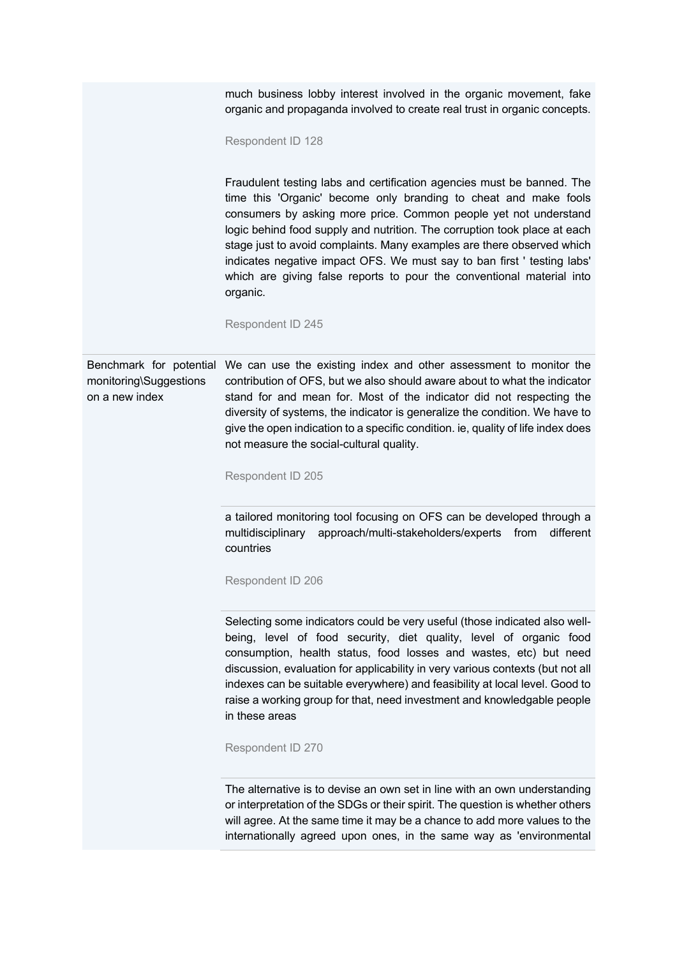|                                                                     | much business lobby interest involved in the organic movement, fake<br>organic and propaganda involved to create real trust in organic concepts.<br>Respondent ID 128                                                                                                                                                                                                                                                                                                                                                                                      |
|---------------------------------------------------------------------|------------------------------------------------------------------------------------------------------------------------------------------------------------------------------------------------------------------------------------------------------------------------------------------------------------------------------------------------------------------------------------------------------------------------------------------------------------------------------------------------------------------------------------------------------------|
|                                                                     | Fraudulent testing labs and certification agencies must be banned. The<br>time this 'Organic' become only branding to cheat and make fools<br>consumers by asking more price. Common people yet not understand<br>logic behind food supply and nutrition. The corruption took place at each<br>stage just to avoid complaints. Many examples are there observed which<br>indicates negative impact OFS. We must say to ban first ' testing labs'<br>which are giving false reports to pour the conventional material into<br>organic.<br>Respondent ID 245 |
|                                                                     |                                                                                                                                                                                                                                                                                                                                                                                                                                                                                                                                                            |
| Benchmark for potential<br>monitoring\Suggestions<br>on a new index | We can use the existing index and other assessment to monitor the<br>contribution of OFS, but we also should aware about to what the indicator<br>stand for and mean for. Most of the indicator did not respecting the<br>diversity of systems, the indicator is generalize the condition. We have to<br>give the open indication to a specific condition. ie, quality of life index does<br>not measure the social-cultural quality.                                                                                                                      |
|                                                                     | Respondent ID 205                                                                                                                                                                                                                                                                                                                                                                                                                                                                                                                                          |
|                                                                     | a tailored monitoring tool focusing on OFS can be developed through a<br>approach/multi-stakeholders/experts from<br>different<br>multidisciplinary<br>countries                                                                                                                                                                                                                                                                                                                                                                                           |
|                                                                     | Respondent ID 206                                                                                                                                                                                                                                                                                                                                                                                                                                                                                                                                          |
|                                                                     | Selecting some indicators could be very useful (those indicated also well-<br>being, level of food security, diet quality, level of organic food<br>consumption, health status, food losses and wastes, etc) but need<br>discussion, evaluation for applicability in very various contexts (but not all<br>indexes can be suitable everywhere) and feasibility at local level. Good to<br>raise a working group for that, need investment and knowledgable people<br>in these areas                                                                        |
|                                                                     | Respondent ID 270                                                                                                                                                                                                                                                                                                                                                                                                                                                                                                                                          |
|                                                                     | The alternative is to devise an own set in line with an own understanding<br>or interpretation of the SDGs or their spirit. The question is whether others<br>will agree. At the same time it may be a chance to add more values to the<br>internationally agreed upon ones, in the same way as 'environmental                                                                                                                                                                                                                                             |
|                                                                     |                                                                                                                                                                                                                                                                                                                                                                                                                                                                                                                                                            |